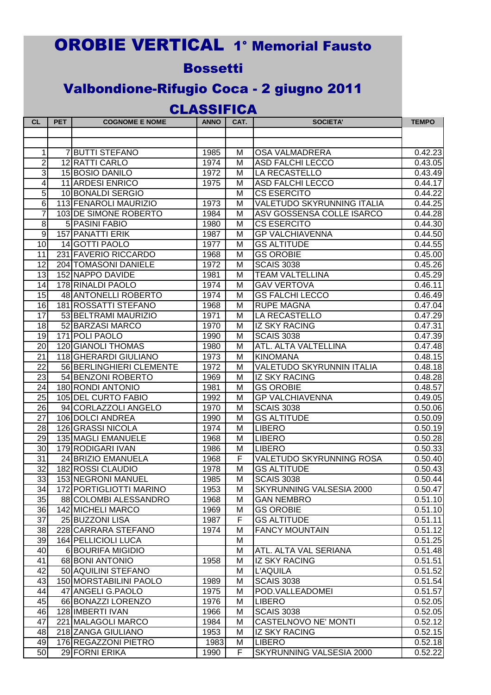## OROBIE VERTICAL 1° Memorial Fausto

## **Bossetti**

## Valbondione-Rifugio Coca - 2 giugno 2011

## CLASSIFICA

| CL              | <b>PET</b> | <b>COGNOME E NOME</b>      | <b>ANNO</b> | CAT. | <b>SOCIETA'</b>                   | <b>TEMPO</b> |
|-----------------|------------|----------------------------|-------------|------|-----------------------------------|--------------|
|                 |            |                            |             |      |                                   |              |
|                 |            |                            |             |      |                                   |              |
| 1               |            | 7 BUTTI STEFANO            | 1985        | M    | <b>OSA VALMADRERA</b>             | 0.42.23      |
| 2               |            | 12 RATTI CARLO             | 1974        | M    | <b>ASD FALCHI LECCO</b>           | 0.43.05      |
| 3               |            | <b>15 BOSIO DANILO</b>     | 1972        | M    | LA RECASTELLO                     | 0.43.49      |
| 4               |            | <b>11 ARDESI ENRICO</b>    | 1975        | M    | <b>ASD FALCHI LECCO</b>           | 0.44.17      |
| 5               |            | 10 BONALDI SERGIO          |             | M    | <b>CS ESERCITO</b>                | 0.44.22      |
| 6               |            | 113 FENAROLI MAURIZIO      | 1973        | M    | <b>VALETUDO SKYRUNNING ITALIA</b> | 0.44.25      |
| $\overline{7}$  |            | 103 DE SIMONE ROBERTO      | 1984        | M    | ASV GOSSENSA COLLE ISARCO         | 0.44.28      |
| 8               |            | 5 PASINI FABIO             | 1980        | M    | <b>CS ESERCITO</b>                | 0.44.30      |
| 9               |            | 157 PANATTI ERIK           | 1987        | M    | <b>GP VALCHIAVENNA</b>            | 0.44.50      |
| 10              |            | 14 GOTTI PAOLO             | 1977        | M    | <b>GS ALTITUDE</b>                | 0.44.55      |
| 11              |            | 231 FAVERIO RICCARDO       | 1968        | M    | <b>GS OROBIE</b>                  | 0.45.00      |
| 12              |            | 204 TOMASONI DANIELE       | 1972        | M    | <b>SCAIS 3038</b>                 | 0.45.26      |
| 13              |            | 152 NAPPO DAVIDE           | 1981        | M    | <b>TEAM VALTELLINA</b>            | 0.45.29      |
| 14              |            | 178 RINALDI PAOLO          | 1974        | M    | <b>GAV VERTOVA</b>                | 0.46.11      |
| 15              |            | 48 ANTONELLI ROBERTO       | 1974        | Μ    | <b>GS FALCHI LECCO</b>            | 0.46.49      |
| 16              |            | 181 ROSSATTI STEFANO       | 1968        | M    | <b>RUPE MAGNA</b>                 | 0.47.04      |
| 17              |            | 53 BELTRAMI MAURIZIO       | 1971        | M    | LA RECASTELLO                     | 0.47.29      |
| 18              |            | 52 BARZASI MARCO           | 1970        | M    | <b>IZ SKY RACING</b>              | 0.47.31      |
| 19              |            | 171 POLI PAOLO             | 1990        | M    | <b>SCAIS 3038</b>                 | 0.47.39      |
| 20              |            | 120 GIANOLI THOMAS         | 1980        | M    | ATL. ALTA VALTELLINA              | 0.47.48      |
| 21              |            | 118 GHERARDI GIULIANO      | 1973        | M    | <b>KINOMANA</b>                   | 0.48.15      |
| $\overline{22}$ |            | 56 BERLINGHIERI CLEMENTE   | 1972        | M    | VALETUDO SKYRUNNIN ITALIA         | 0.48.18      |
| 23              |            | 54 BENZONI ROBERTO         | 1969        | M    | <b>IZ SKY RACING</b>              | 0.48.28      |
| 24              |            | 180 RONDI ANTONIO          | 1981        | M    | <b>GS OROBIE</b>                  | 0.48.57      |
| 25              |            | 105 DEL CURTO FABIO        | 1992        | M    | <b>GP VALCHIAVENNA</b>            | 0.49.05      |
| 26              |            | 94 CORLAZZOLI ANGELO       | 1970        | M    | <b>SCAIS 3038</b>                 | 0.50.06      |
| 27              |            | 106 DOLCI ANDREA           | 1990        | M    | <b>GS ALTITUDE</b>                | 0.50.09      |
| 28              |            | 126 GRASSI NICOLA          | 1974        | M    | <b>LIBERO</b>                     | 0.50.19      |
| 29              |            | 135 MAGLI EMANUELE         | 1968        | M    | <b>LIBERO</b>                     | 0.50.28      |
| 30              |            | 179 RODIGARI IVAN          | 1986        | M    | <b>LIBERO</b>                     | 0.50.33      |
| 31              |            | 24 BRIZIO EMANUELA         | 1968        | F    | VALETUDO SKYRUNNING ROSA          | 0.50.40      |
| 32              |            | 182 ROSSI CLAUDIO          | 1978        | Μ    | <b>GS ALTITUDE</b>                | 0.50.43      |
| 33              |            | 153 NEGRONI MANUEL         | 1985        | M    | <b>SCAIS 3038</b>                 | 0.50.44      |
| 34              |            | 172 PORTIGLIOTTI MARINO    | 1953        | M    | SKYRUNNING VALSESIA 2000          | 0.50.47      |
| 35              |            | 88 COLOMBI ALESSANDRO      | 1968        | M    | <b>GAN NEMBRO</b>                 | 0.51.10      |
| 36              |            | 142 MICHELI MARCO          | 1969        | M    | <b>GS OROBIE</b>                  | 0.51.10      |
| 37              |            | 25 BUZZONI LISA            | 1987        | F    | <b>GS ALTITUDE</b>                | 0.51.11      |
| 38              |            | 228 CARRARA STEFANO        | 1974        | M    | <b>FANCY MOUNTAIN</b>             | 0.51.12      |
| 39              |            | <b>164 PELLICIOLI LUCA</b> |             | M    |                                   | 0.51.25      |
| 40              |            | <b>6 BOURIFA MIGIDIO</b>   |             | M    | ATL. ALTA VAL SERIANA             | 0.51.48      |
| 41              |            | 68 BONI ANTONIO            | 1958        | M    | <b>IZ SKY RACING</b>              | 0.51.51      |
| 42              |            | 50 AQUILINI STEFANO        |             | M    | <b>L'AQUILA</b>                   | 0.51.52      |
| 43              |            | 150 MORSTABILINI PAOLO     | 1989        | M    | <b>SCAIS 3038</b>                 | 0.51.54      |
| 44              |            | 47 ANGELI G.PAOLO          | 1975        | M    | POD.VALLEADOMEI                   | 0.51.57      |
| 45              |            | 66 BONAZZI LORENZO         | 1976        | M    | <b>LIBERO</b>                     | 0.52.05      |
| 46              |            | 128 IMBERTI IVAN           | 1966        | M    | <b>SCAIS 3038</b>                 | 0.52.05      |
| 47              |            | 221 MALAGOLI MARCO         | 1984        | M    | CASTELNOVO NE' MONTI              | 0.52.12      |
| 48              |            | 218 ZANGA GIULIANO         | 1953        | M    | <b>IZ SKY RACING</b>              | 0.52.15      |
| 49              |            | 176 REGAZZONI PIETRO       | 1983        | M    | <b>LIBERO</b>                     | 0.52.18      |
| 50              |            | 29 FORNI ERIKA             | 1990        | F    | SKYRUNNING VALSESIA 2000          | 0.52.22      |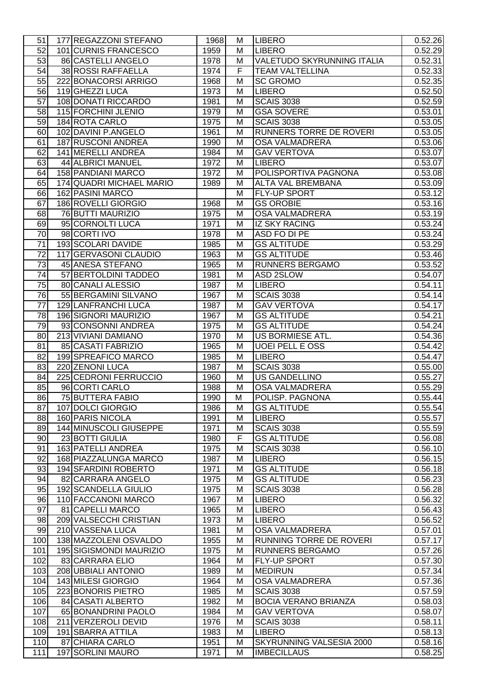| 51              | 177 REGAZZONI STEFANO    | 1968 | М              | <b>LIBERO</b>                     | 0.52.26 |
|-----------------|--------------------------|------|----------------|-----------------------------------|---------|
| 52              | 101 CURNIS FRANCESCO     | 1959 | M              | <b>LIBERO</b>                     | 0.52.29 |
| 53              | 86 CASTELLI ANGELO       | 1978 | M              | <b>VALETUDO SKYRUNNING ITALIA</b> | 0.52.31 |
| 54              | 38 ROSSI RAFFAELLA       | 1974 | F              | <b>TEAM VALTELLINA</b>            | 0.52.33 |
| 55              | 222 BONACORSI ARRIGO     | 1968 | M              | <b>SC GROMO</b>                   | 0.52.35 |
| 56              | 119 GHEZZI LUCA          | 1973 | M              | <b>LIBERO</b>                     | 0.52.50 |
| 57              | 108 DONATI RICCARDO      | 1981 | M              | <b>SCAIS 3038</b>                 | 0.52.59 |
|                 | 115 FORCHINI JLENIO      |      |                |                                   |         |
| 58              |                          | 1979 | M              | <b>GSA SOVERE</b>                 | 0.53.01 |
| 59              | 184 ROTA CARLO           | 1975 | M              | <b>SCAIS 3038</b>                 | 0.53.05 |
| 60              | 102 DAVINI P.ANGELO      | 1961 | M              | RUNNERS TORRE DE ROVERI           | 0.53.05 |
| 61              | 187 RUSCONI ANDREA       | 1990 | М              | OSA VALMADRERA                    | 0.53.06 |
| 62              | 141 MERELLI ANDREA       | 1984 | M              | <b>GAV VERTOVA</b>                | 0.53.07 |
| 63              | 44 ALBRICI MANUEL        | 1972 | M              | <b>LIBERO</b>                     | 0.53.07 |
| 64              | 158 PANDIANI MARCO       | 1972 | M              | POLISPORTIVA PAGNONA              | 0.53.08 |
| 65              | 174 QUADRI MICHAEL MARIO | 1989 | M              | ALTA VAL BREMBANA                 | 0.53.09 |
| 66              | 162 PASINI MARCO         |      | M              | FLY-UP SPORT                      | 0.53.12 |
| 67              | 186 ROVELLI GIORGIO      | 1968 | M              | <b>GS OROBIE</b>                  | 0.53.16 |
| 68              | 76 BUTTI MAURIZIO        | 1975 | M              | <b>OSA VALMADRERA</b>             | 0.53.19 |
| 69              | 95 CORNOLTI LUCA         | 1971 | M              | <b>IZ SKY RACING</b>              | 0.53.24 |
| $\overline{70}$ | 98 CORTI IVO             | 1978 | M              | ASD FO DI PE                      | 0.53.24 |
| 71              | 193 SCOLARI DAVIDE       | 1985 | M              | <b>GS ALTITUDE</b>                | 0.53.29 |
| 72              | 117 GERVASONI CLAUDIO    | 1963 | M              | <b>GS ALTITUDE</b>                | 0.53.46 |
| 73              | 45 ANESA STEFANO         | 1965 | M              | RUNNERS BERGAMO                   | 0.53.52 |
| 74              | 57 BERTOLDINI TADDEO     | 1981 | M              | ASD 2SLOW                         | 0.54.07 |
| 75              | 80 CANALI ALESSIO        | 1987 | M              | <b>LIBERO</b>                     | 0.54.11 |
| 76              | 55 BERGAMINI SILVANO     | 1967 | M              | <b>SCAIS 3038</b>                 | 0.54.14 |
| 77              | 129 LANFRANCHI LUCA      | 1987 | M              | <b>GAV VERTOVA</b>                | 0.54.17 |
| 78              | 196 SIGNORI MAURIZIO     | 1967 | M              | <b>GS ALTITUDE</b>                | 0.54.21 |
| 79              | 93 CONSONNI ANDREA       | 1975 | M              | <b>GS ALTITUDE</b>                | 0.54.24 |
| 80              | 213 VIVIANI DAMIANO      | 1970 | M              | US BORMIESE ATL.                  | 0.54.36 |
| 81              | 85 CASATI FABRIZIO       | 1965 | M              | <b>UOEI PELL E OSS</b>            | 0.54.42 |
| 82              | 199 SPREAFICO MARCO      | 1985 | M              | <b>LIBERO</b>                     |         |
|                 | 220 ZENONI LUCA          |      |                |                                   | 0.54.47 |
| 83              |                          | 1987 | M              | <b>SCAIS 3038</b>                 | 0.55.00 |
| 84              | 225 CEDRONI FERRUCCIO    | 1960 | M              | <b>US GANDELLINO</b>              | 0.55.27 |
| 85              | 96 CORTI CARLO           | 1988 | M              | <b>OSA VALMADRERA</b>             | 0.55.29 |
| 86              | 75 BUTTERA FABIO         | 1990 | M              | POLISP. PAGNONA                   | 0.55.44 |
| 87              | 107 DOLCI GIORGIO        | 1986 | M              | <b>GS ALTITUDE</b>                | 0.55.54 |
| 88              | <b>160 PARIS NICOLA</b>  | 1991 | M              | <b>LIBERO</b>                     | 0.55.57 |
| 89              | 144 MINUSCOLI GIUSEPPE   | 1971 | M              | <b>SCAIS 3038</b>                 | 0.55.59 |
| 90              | 23 BOTTI GIULIA          | 1980 | $\overline{F}$ | <b>GS ALTITUDE</b>                | 0.56.08 |
| 91              | 163 PATELLI ANDREA       | 1975 | M              | <b>SCAIS 3038</b>                 | 0.56.10 |
| 92              | 168 PIAZZALUNGA MARCO    | 1987 | M              | <b>LIBERO</b>                     | 0.56.15 |
| 93              | 194 SFARDINI ROBERTO     | 1971 | M              | <b>GS ALTITUDE</b>                | 0.56.18 |
| 94              | 82 CARRARA ANGELO        | 1975 | M              | <b>GS ALTITUDE</b>                | 0.56.23 |
| 95              | 192 SCANDELLA GIULIO     | 1975 | M              | <b>SCAIS 3038</b>                 | 0.56.28 |
| 96              | 110 FACCANONI MARCO      | 1967 | M              | <b>LIBERO</b>                     | 0.56.32 |
| $\overline{97}$ | 81 CAPELLI MARCO         | 1965 | M              | <b>LIBERO</b>                     | 0.56.43 |
| $\overline{98}$ | 209 VALSECCHI CRISTIAN   | 1973 | M              | <b>LIBERO</b>                     | 0.56.52 |
| 99              | 210 VASSENA LUCA         | 1981 | M              | OSA VALMADRERA                    | 0.57.01 |
| 100             | 138 MAZZOLENI OSVALDO    | 1955 | M              | RUNNING TORRE DE ROVERI           | 0.57.17 |
| 101             | 195 SIGISMONDI MAURIZIO  | 1975 | M              | RUNNERS BERGAMO                   | 0.57.26 |
| 102             | 83 CARRARA ELIO          | 1964 | M              | FLY-UP SPORT                      | 0.57.30 |
| 103             | 208 UBBIALI ANTONIO      | 1989 | M              | <b>MEDIRUN</b>                    | 0.57.34 |
| 104             | 143 MILESI GIORGIO       | 1964 | M              | <b>OSA VALMADRERA</b>             | 0.57.36 |
| 105             | 223 BONORIS PIETRO       | 1985 | M              | <b>SCAIS 3038</b>                 | 0.57.59 |
| 106             | 84 CASATI ALBERTO        | 1982 | M              | <b>BOCIA VERANO BRIANZA</b>       | 0.58.03 |
| 107             | 65 BONANDRINI PAOLO      | 1984 | M              | <b>GAV VERTOVA</b>                | 0.58.07 |
| 108             | 211 VERZEROLI DEVID      | 1976 | M              | <b>SCAIS 3038</b>                 | 0.58.11 |
| 109             | 191 SBARRA ATTILA        | 1983 | M              | <b>LIBERO</b>                     | 0.58.13 |
| 110             | 87 CHIARA CARLO          |      |                |                                   |         |
|                 |                          | 1951 | M              | SKYRUNNING VALSESIA 2000          | 0.58.16 |
| 111             | 197 SORLINI MAURO        | 1971 | M              | <b>IMBECILLAUS</b>                | 0.58.25 |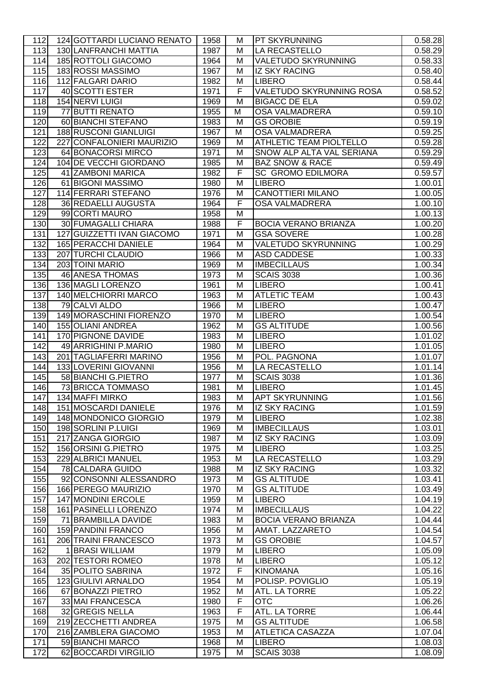| 112 | 124 GOTTARDI LUCIANO RENATO  | 1958 | М | <b>PT SKYRUNNING</b>        | 0.58.28 |
|-----|------------------------------|------|---|-----------------------------|---------|
| 113 | <b>130 LANFRANCHI MATTIA</b> | 1987 | M | <b>LA RECASTELLO</b>        | 0.58.29 |
| 114 | 185 ROTTOLI GIACOMO          | 1964 | M | <b>VALETUDO SKYRUNNING</b>  | 0.58.33 |
| 115 | 183 ROSSI MASSIMO            | 1967 | M | <b>IZ SKY RACING</b>        | 0.58.40 |
| 116 | 112 FALGARI DARIO            | 1982 | M | LIBERO                      | 0.58.44 |
| 117 | 40 SCOTTI ESTER              | 1971 | F | VALETUDO SKYRUNNING ROSA    | 0.58.52 |
| 118 | 154 NERVI LUIGI              | 1969 | M | <b>BIGACC DE ELA</b>        | 0.59.02 |
| 119 | 77 BUTTI RENATO              | 1955 | M | <b>OSA VALMADRERA</b>       | 0.59.10 |
| 120 | 60 BIANCHI STEFANO           | 1983 |   |                             |         |
|     |                              |      | M | <b>GS OROBIE</b>            | 0.59.19 |
| 121 | 188 RUSCONI GIANLUIGI        | 1967 | M | <b>OSA VALMADRERA</b>       | 0.59.25 |
| 122 | 227 CONFALONIERI MAURIZIO    | 1969 | M | ATHLETIC TEAM PIOLTELLO     | 0.59.28 |
| 123 | 64 BONACORSI MIRCO           | 1971 | M | SNOW ALP ALTA VAL SERIANA   | 0.59.29 |
| 124 | 104 DE VECCHI GIORDANO       | 1985 | M | <b>BAZ SNOW &amp; RACE</b>  | 0.59.49 |
| 125 | 41 ZAMBONI MARICA            | 1982 | F | <b>SC GROMO EDILMORA</b>    | 0.59.57 |
| 126 | 61 BIGONI MASSIMO            | 1980 | Μ | <b>LIBERO</b>               | 1.00.01 |
| 127 | 114 FERRARI STEFANO          | 1976 | Μ | <b>CANOTTIERI MILANO</b>    | 1.00.05 |
| 128 | 36 REDAELLI AUGUSTA          | 1964 | F | <b>OSA VALMADRERA</b>       | 1.00.10 |
| 129 | 99 CORTI MAURO               | 1958 | M |                             | 1.00.13 |
| 130 | <b>30 FUMAGALLI CHIARA</b>   | 1988 | F | <b>BOCIA VERANO BRIANZA</b> | 1.00.20 |
| 131 | 127 GUIZZETTI IVAN GIACOMO   | 1971 | M | <b>GSA SOVERE</b>           | 1.00.28 |
| 132 | 165 PERACCHI DANIELE         | 1964 | M | <b>VALETUDO SKYRUNNING</b>  | 1.00.29 |
| 133 | 207 TURCHI CLAUDIO           | 1966 | M | <b>ASD CADDESE</b>          | 1.00.33 |
| 134 | 203 TOINI MARIO              | 1969 | M | <b>IMBECILLAUS</b>          | 1.00.34 |
| 135 | 46 ANESA THOMAS              | 1973 | M | <b>SCAIS 3038</b>           | 1.00.36 |
| 136 | 136 MAGLI LORENZO            | 1961 | M | <b>LIBERO</b>               | 1.00.41 |
| 137 | 140 MELCHIORRI MARCO         | 1963 | M | <b>ATLETIC TEAM</b>         | 1.00.43 |
| 138 | 79 CALVI ALDO                | 1966 | M | LIBERO                      | 1.00.47 |
| 139 | 149 MORASCHINI FIORENZO      | 1970 | M | LIBERO                      | 1.00.54 |
| 140 | 155 OLIANI ANDREA            | 1962 | M | <b>GS ALTITUDE</b>          | 1.00.56 |
| 141 | 170 PIGNONE DAVIDE           | 1983 | M | <b>LIBERO</b>               | 1.01.02 |
| 142 | 49 ARRIGHINI P.MARIO         | 1980 | M | <b>LIBERO</b>               | 1.01.05 |
| 143 | 201 TAGLIAFERRI MARINO       | 1956 | M | POL. PAGNONA                | 1.01.07 |
| 144 | 133 LOVERINI GIOVANNI        | 1956 | М | LA RECASTELLO               | 1.01.14 |
| 145 | 58 BIANCHI G.PIETRO          | 1977 | M | <b>SCAIS 3038</b>           | 1.01.36 |
| 146 | 73 BRICCA TOMMASO            | 1981 | M | <b>LIBERO</b>               | 1.01.45 |
| 147 | 134 MAFFI MIRKO              | 1983 | M | <b>APT SKYRUNNING</b>       | 1.01.56 |
|     | 151 MOSCARDI DANIELE         |      |   | <b>IZ SKY RACING</b>        | 1.01.59 |
| 148 |                              | 1976 | M |                             |         |
| 149 | 148 MONDONICO GIORGIO        | 1979 | M | <b>LIBERO</b>               | 1.02.38 |
| 150 | 198 SORLINI P.LUIGI          | 1969 | M | <b>IMBECILLAUS</b>          | 1.03.01 |
| 151 | 217 ZANGA GIORGIO            | 1987 | M | <b>IZ SKY RACING</b>        | 1.03.09 |
| 152 | 156 ORSINI G.PIETRO          | 1975 | M | <b>LIBERO</b>               | 1.03.25 |
| 153 | 229 ALBRICI MANUEL           | 1953 | М | LA RECASTELLO               | 1.03.29 |
| 154 | 78 CALDARA GUIDO             | 1988 | M | <b>IZ SKY RACING</b>        | 1.03.32 |
| 155 | 92 CONSONNI ALESSANDRO       | 1973 | M | <b>GS ALTITUDE</b>          | 1.03.41 |
| 156 | 166 PEREGO MAURIZIO          | 1970 | M | <b>GS ALTITUDE</b>          | 1.03.49 |
| 157 | 147 MONDINI ERCOLE           | 1959 | M | <b>LIBERO</b>               | 1.04.19 |
| 158 | 161 PASINELLI LORENZO        | 1974 | M | <b>IMBECILLAUS</b>          | 1.04.22 |
| 159 | 71 BRAMBILLA DAVIDE          | 1983 | М | <b>BOCIA VERANO BRIANZA</b> | 1.04.44 |
| 160 | 159 PANDINI FRANCO           | 1956 | M | AMAT. LAZZARETO             | 1.04.54 |
| 161 | 206 TRAINI FRANCESCO         | 1973 | M | <b>GS OROBIE</b>            | 1.04.57 |
| 162 | 1 BRASI WILLIAM              | 1979 | M | LIBERO                      | 1.05.09 |
| 163 | 202 TESTORI ROMEO            | 1978 | M | <b>LIBERO</b>               | 1.05.12 |
| 164 | 35 POLITO SABRINA            | 1972 | F | <b>KINOMANA</b>             | 1.05.16 |
| 165 | 123 GIULIVI ARNALDO          | 1954 | Μ | POLISP. POVIGLIO            | 1.05.19 |
| 166 | 67 BONAZZI PIETRO            | 1952 | M | <b>ATL. LA TORRE</b>        | 1.05.22 |
| 167 | 33 MAI FRANCESCA             | 1980 | F | <b>OTC</b>                  | 1.06.26 |
| 168 | 32 GREGIS NELLA              | 1963 | F | ATL. LA TORRE               | 1.06.44 |
| 169 | 219 ZECCHETTI ANDREA         | 1975 | M | <b>GS ALTITUDE</b>          | 1.06.58 |
| 170 | 216 ZAMBLERA GIACOMO         | 1953 | M | <b>ATLETICA CASAZZA</b>     | 1.07.04 |
| 171 | 59 BIANCHI MARCO             | 1968 | M | LIBERO                      | 1.08.03 |
| 172 | 62 BOCCARDI VIRGILIO         | 1975 | M | <b>SCAIS 3038</b>           | 1.08.09 |
|     |                              |      |   |                             |         |